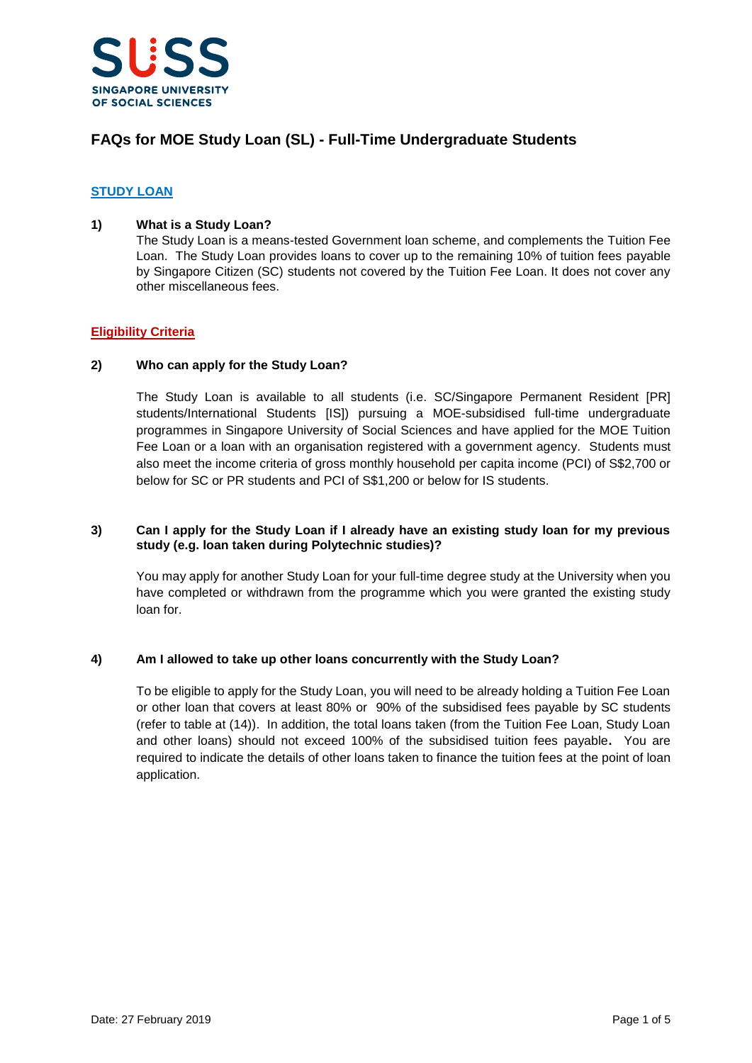

# **FAQs for MOE Study Loan (SL) - Full-Time Undergraduate Students**

# **STUDY LOAN**

## **1) What is a Study Loan?**

The Study Loan is a means-tested Government loan scheme, and complements the Tuition Fee Loan. The Study Loan provides loans to cover up to the remaining 10% of tuition fees payable by Singapore Citizen (SC) students not covered by the Tuition Fee Loan. It does not cover any other miscellaneous fees.

# **Eligibility Criteria**

## **2) Who can apply for the Study Loan?**

The Study Loan is available to all students (i.e. SC/Singapore Permanent Resident [PR] students/International Students [IS]) pursuing a MOE-subsidised full-time undergraduate programmes in Singapore University of Social Sciences and have applied for the MOE Tuition Fee Loan or a loan with an organisation registered with a government agency. Students must also meet the income criteria of gross monthly household per capita income (PCI) of S\$2,700 or below for SC or PR students and PCI of S\$1,200 or below for IS students.

## **3) Can I apply for the Study Loan if I already have an existing study loan for my previous study (e.g. loan taken during Polytechnic studies)?**

You may apply for another Study Loan for your full-time degree study at the University when you have completed or withdrawn from the programme which you were granted the existing study loan for.

# **4) Am I allowed to take up other loans concurrently with the Study Loan?**

To be eligible to apply for the Study Loan, you will need to be already holding a Tuition Fee Loan or other loan that covers at least 80% or 90% of the subsidised fees payable by SC students (refer to table at (14)).In addition, the total loans taken (from the Tuition Fee Loan, Study Loan and other loans) should not exceed 100% of the subsidised tuition fees payable**.** You are required to indicate the details of other loans taken to finance the tuition fees at the point of loan application.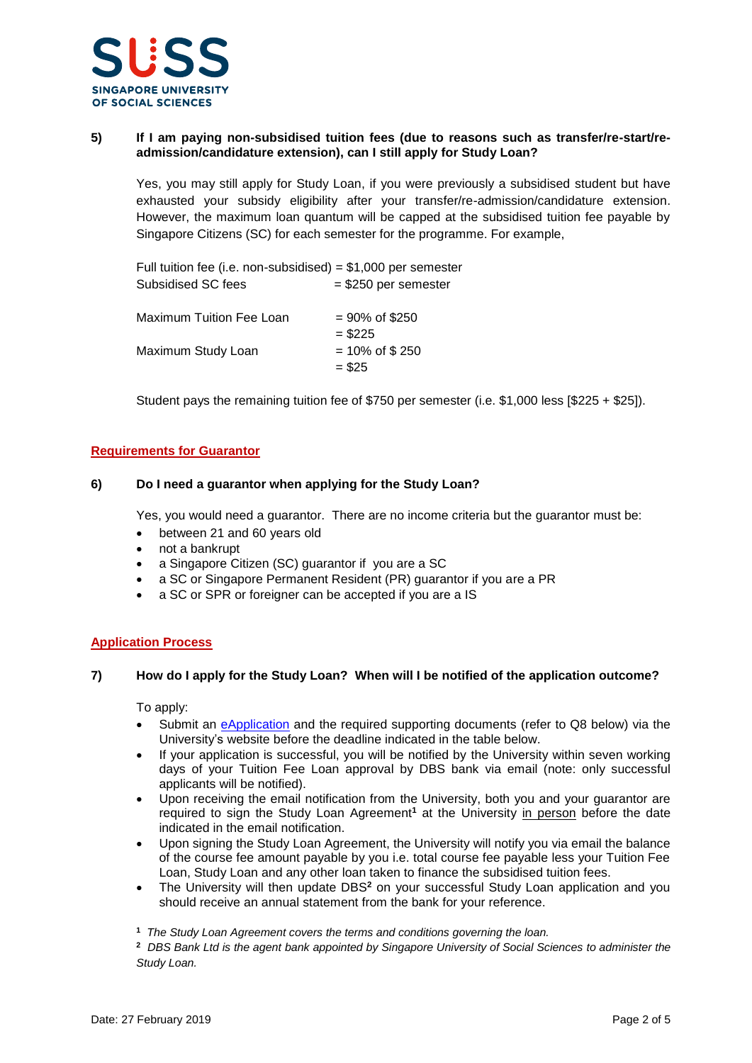

## **5) If I am paying non-subsidised tuition fees (due to reasons such as transfer/re-start/readmission/candidature extension), can I still apply for Study Loan?**

Yes, you may still apply for Study Loan, if you were previously a subsidised student but have exhausted your subsidy eligibility after your transfer/re-admission/candidature extension. However, the maximum loan quantum will be capped at the subsidised tuition fee payable by Singapore Citizens (SC) for each semester for the programme. For example,

Full tuition fee (i.e. non-subsidised) =  $$1,000$  per semester Subsidised SC fees = \$250 per semester

| Maximum Tuition Fee Loan | $= 90\%$ of \$250<br>$=$ \$225       |
|--------------------------|--------------------------------------|
| Maximum Study Loan       | $= 10\% \text{ of } $250$<br>$= $25$ |

Student pays the remaining tuition fee of \$750 per semester (i.e. \$1,000 less [\$225 + \$25]).

# **Requirements for Guarantor**

## **6) Do I need a guarantor when applying for the Study Loan?**

Yes, you would need a guarantor. There are no income criteria but the guarantor must be:

- between 21 and 60 years old
- not a bankrupt
- a Singapore Citizen (SC) guarantor if you are a SC
- a SC or Singapore Permanent Resident (PR) guarantor if you are a PR
- a SC or SPR or foreigner can be accepted if you are a IS

#### **Application Process**

#### **7) How do I apply for the Study Loan? When will I be notified of the application outcome?**

To apply:

- Submit an [eApplication](https://www.suss.edu.sg/EService/eApps/FinancialAideApplication/FinancialAideApplicationLogin.aspx?subType=FFA-STULOAN) and the required supporting documents (refer to Q8 below) via the University's website before the deadline indicated in the table below.
- If your application is successful, you will be notified by the University within seven working days of your Tuition Fee Loan approval by DBS bank via email (note: only successful applicants will be notified).
- Upon receiving the email notification from the University, both you and your guarantor are required to sign the Study Loan Agreement**<sup>1</sup>** at the University in person before the date indicated in the email notification.
- Upon signing the Study Loan Agreement, the University will notify you via email the balance of the course fee amount payable by you i.e. total course fee payable less your Tuition Fee Loan, Study Loan and any other loan taken to finance the subsidised tuition fees.
- The University will then update DBS**<sup>2</sup>** on your successful Study Loan application and you should receive an annual statement from the bank for your reference.

#### **<sup>1</sup>** *The Study Loan Agreement covers the terms and conditions governing the loan.*

**<sup>2</sup>***DBS Bank Ltd is the agent bank appointed by Singapore University of Social Sciences to administer the Study Loan.*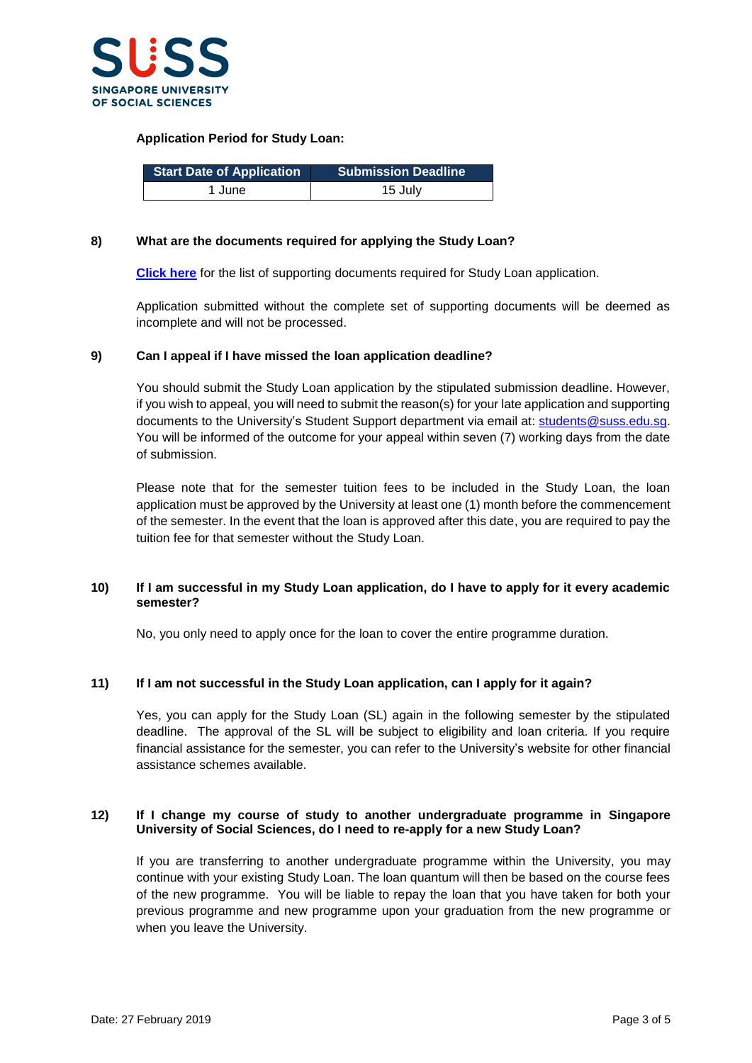

## **Application Period for Study Loan:**

| <b>Start Date of Application</b> | <b>Submission Deadline</b> |
|----------------------------------|----------------------------|
| 1 June                           | 15 July                    |

## **8) What are the documents required for applying the Study Loan?**

**[Click here](https://www.suss.edu.sg/docs/default-source/contentdoc/sa/ft-studygrantchecklist.pdf)** for the list of supporting documents required for Study Loan application.

Application submitted without the complete set of supporting documents will be deemed as incomplete and will not be processed.

## **9) Can I appeal if I have missed the loan application deadline?**

You should submit the Study Loan application by the stipulated submission deadline. However, if you wish to appeal, you will need to submit the reason(s) for your late application and supporting documents to the University's Student Support department via email at: [students@suss.edu.sg.](mailto:students@suss.edu.sg) You will be informed of the outcome for your appeal within seven (7) working days from the date of submission.

Please note that for the semester tuition fees to be included in the Study Loan, the loan application must be approved by the University at least one (1) month before the commencement of the semester. In the event that the loan is approved after this date, you are required to pay the tuition fee for that semester without the Study Loan.

## **10) If I am successful in my Study Loan application, do I have to apply for it every academic semester?**

No, you only need to apply once for the loan to cover the entire programme duration.

#### **11) If I am not successful in the Study Loan application, can I apply for it again?**

Yes, you can apply for the Study Loan (SL) again in the following semester by the stipulated deadline. The approval of the SL will be subject to eligibility and loan criteria. If you require financial assistance for the semester, you can refer to the University's website for other financial assistance schemes available.

#### **12) If I change my course of study to another undergraduate programme in Singapore University of Social Sciences, do I need to re-apply for a new Study Loan?**

If you are transferring to another undergraduate programme within the University, you may continue with your existing Study Loan. The loan quantum will then be based on the course fees of the new programme. You will be liable to repay the loan that you have taken for both your previous programme and new programme upon your graduation from the new programme or when you leave the University.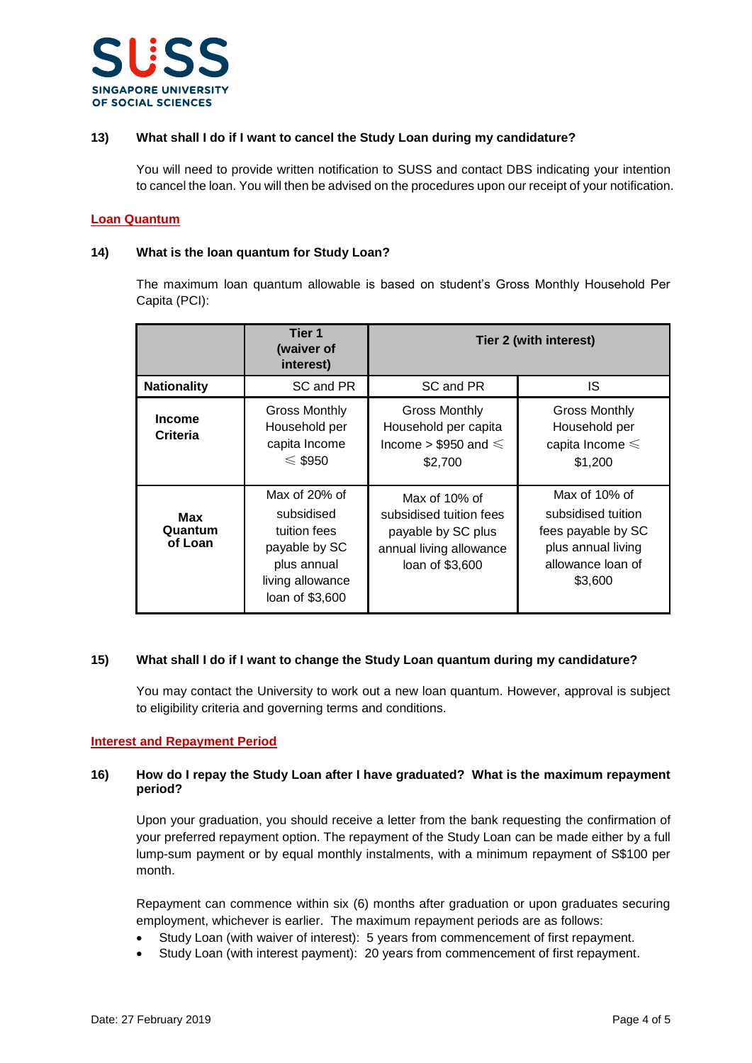

## **13) What shall I do if I want to cancel the Study Loan during my candidature?**

You will need to provide written notification to SUSS and contact DBS indicating your intention to cancel the loan. You will then be advised on the procedures upon our receipt of your notification.

#### **Loan Quantum**

#### **14) What is the loan quantum for Study Loan?**

The maximum loan quantum allowable is based on student's Gross Monthly Household Per Capita (PCI):

|                                  | Tier 1<br>(waiver of<br>interest)                                                                                  | Tier 2 (with interest)                                                                                       |                                                                                                                 |
|----------------------------------|--------------------------------------------------------------------------------------------------------------------|--------------------------------------------------------------------------------------------------------------|-----------------------------------------------------------------------------------------------------------------|
| <b>Nationality</b>               | SC and PR                                                                                                          | SC and PR                                                                                                    | IS                                                                                                              |
| <b>Income</b><br><b>Criteria</b> | <b>Gross Monthly</b><br>Household per<br>capita Income<br>$\leq$ \$950                                             | <b>Gross Monthly</b><br>Household per capita<br>Income > \$950 and $\leq$<br>\$2,700                         | <b>Gross Monthly</b><br>Household per<br>capita Income $\leq$<br>\$1,200                                        |
| Max<br>Quantum<br>of Loan        | Max of 20% of<br>subsidised<br>tuition fees<br>payable by SC<br>plus annual<br>living allowance<br>loan of \$3,600 | Max of 10% of<br>subsidised tuition fees<br>payable by SC plus<br>annual living allowance<br>loan of \$3,600 | Max of 10% of<br>subsidised tuition<br>fees payable by SC<br>plus annual living<br>allowance loan of<br>\$3,600 |

#### **15) What shall I do if I want to change the Study Loan quantum during my candidature?**

You may contact the University to work out a new loan quantum. However, approval is subject to eligibility criteria and governing terms and conditions.

## **Interest and Repayment Period**

## **16) How do I repay the Study Loan after I have graduated? What is the maximum repayment period?**

Upon your graduation, you should receive a letter from the bank requesting the confirmation of your preferred repayment option. The repayment of the Study Loan can be made either by a full lump-sum payment or by equal monthly instalments, with a minimum repayment of S\$100 per month.

Repayment can commence within six (6) months after graduation or upon graduates securing employment, whichever is earlier. The maximum repayment periods are as follows:

- Study Loan (with waiver of interest): 5 years from commencement of first repayment.
- Study Loan (with interest payment): 20 years from commencement of first repayment.